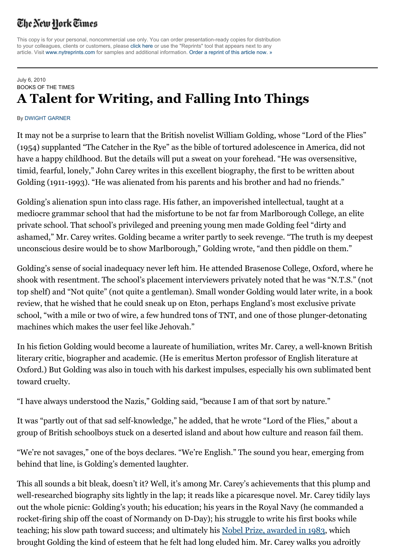## The New Hork Times

This copy is for your personal, noncommercial use only. You can order presentation-ready copies for distribution to your colleagues, clients or customers, please click here or use the "Reprints" tool that appears next to any article. Visit www.nytreprints.com for samples and additional information. Order a reprint of this article now. »

## July 6, 2010 BOOKS OF THE TIMES **A Talent for Writing, and Falling Into Things**

## By DWIGHT GARNER

It may not be a surprise to learn that the British novelist William Golding, whose "Lord of the Flies" (1954) supplanted "The Catcher in the Rye" as the bible of tortured adolescence in America, did not have a happy childhood. But the details will put a sweat on your forehead. "He was oversensitive, timid, fearful, lonely," John Carey writes in this excellent biography, the first to be written about Golding (1911-1993). "He was alienated from his parents and his brother and had no friends."

Golding's alienation spun into class rage. His father, an impoverished intellectual, taught at a mediocre grammar school that had the misfortune to be not far from Marlborough College, an elite private school. That school's privileged and preening young men made Golding feel "dirty and ashamed," Mr. Carey writes. Golding became a writer partly to seek revenge. "The truth is my deepest unconscious desire would be to show Marlborough," Golding wrote, "and then piddle on them."

Golding's sense of social inadequacy never left him. He attended Brasenose College, Oxford, where he shook with resentment. The school's placement interviewers privately noted that he was "N.T.S." (not top shelf) and "Not quite" (not quite a gentleman). Small wonder Golding would later write, in a book review, that he wished that he could sneak up on Eton, perhaps England's most exclusive private school, "with a mile or two of wire, a few hundred tons of TNT, and one of those plunger-detonating machines which makes the user feel like Jehovah."

In his fiction Golding would become a laureate of humiliation, writes Mr. Carey, a well-known British literary critic, biographer and academic. (He is emeritus Merton professor of English literature at Oxford.) But Golding was also in touch with his darkest impulses, especially his own sublimated bent toward cruelty.

"I have always understood the Nazis," Golding said, "because I am of that sort by nature."

It was "partly out of that sad self-knowledge," he added, that he wrote "Lord of the Flies," about a group of British schoolboys stuck on a deserted island and about how culture and reason fail them.

"We're not savages," one of the boys declares. "We're English." The sound you hear, emerging from behind that line, is Golding's demented laughter.

This all sounds a bit bleak, doesn't it? Well, it's among Mr. Carey's achievements that this plump and well-researched biography sits lightly in the lap; it reads like a picaresque novel. Mr. Carey tidily lays out the whole picnic: Golding's youth; his education; his years in the Royal Navy (he commanded a rocket-firing ship off the coast of Normandy on D-Day); his struggle to write his first books while teaching; his slow path toward success; and ultimately his Nobel Prize, awarded in 1983, which brought Golding the kind of esteem that he felt had long eluded him. Mr. Carey walks you adroitly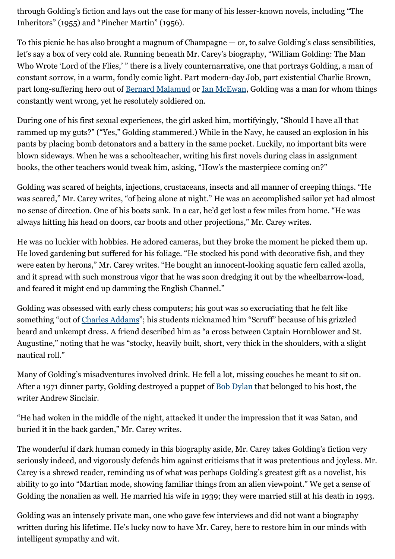through Golding's fiction and lays out the case for many of his lesser-known novels, including "The Inheritors" (1955) and "Pincher Martin" (1956).

To this picnic he has also brought a magnum of Champagne — or, to salve Golding's class sensibilities, let's say a box of very cold ale. Running beneath Mr. Carey's biography, "William Golding: The Man Who Wrote 'Lord of the Flies,' " there is a lively counternarrative, one that portrays Golding, a man of constant sorrow, in a warm, fondly comic light. Part modern-day Job, part existential Charlie Brown, part long-suffering hero out of Bernard Malamud or Ian McEwan, Golding was a man for whom things constantly went wrong, yet he resolutely soldiered on.

During one of his first sexual experiences, the girl asked him, mortifyingly, "Should I have all that rammed up my guts?" ("Yes," Golding stammered.) While in the Navy, he caused an explosion in his pants by placing bomb detonators and a battery in the same pocket. Luckily, no important bits were blown sideways. When he was a schoolteacher, writing his first novels during class in assignment books, the other teachers would tweak him, asking, "How's the masterpiece coming on?"

Golding was scared of heights, injections, crustaceans, insects and all manner of creeping things. "He was scared," Mr. Carey writes, "of being alone at night." He was an accomplished sailor yet had almost no sense of direction. One of his boats sank. In a car, he'd get lost a few miles from home. "He was always hitting his head on doors, car boots and other projections," Mr. Carey writes.

He was no luckier with hobbies. He adored cameras, but they broke the moment he picked them up. He loved gardening but suffered for his foliage. "He stocked his pond with decorative fish, and they were eaten by herons," Mr. Carey writes. "He bought an innocent-looking aquatic fern called azolla, and it spread with such monstrous vigor that he was soon dredging it out by the wheelbarrow-load, and feared it might end up damming the English Channel."

Golding was obsessed with early chess computers; his gout was so excruciating that he felt like something "out of Charles Addams"; his students nicknamed him "Scruff" because of his grizzled beard and unkempt dress. A friend described him as "a cross between Captain Hornblower and St. Augustine," noting that he was "stocky, heavily built, short, very thick in the shoulders, with a slight nautical roll."

Many of Golding's misadventures involved drink. He fell a lot, missing couches he meant to sit on. After a 1971 dinner party, Golding destroyed a puppet of Bob Dylan that belonged to his host, the writer Andrew Sinclair.

"He had woken in the middle of the night, attacked it under the impression that it was Satan, and buried it in the back garden," Mr. Carey writes.

The wonderful if dark human comedy in this biography aside, Mr. Carey takes Golding's fiction very seriously indeed, and vigorously defends him against criticisms that it was pretentious and joyless. Mr. Carey is a shrewd reader, reminding us of what was perhaps Golding's greatest gift as a novelist, his ability to go into "Martian mode, showing familiar things from an alien viewpoint." We get a sense of Golding the nonalien as well. He married his wife in 1939; they were married still at his death in 1993.

Golding was an intensely private man, one who gave few interviews and did not want a biography written during his lifetime. He's lucky now to have Mr. Carey, here to restore him in our minds with intelligent sympathy and wit.